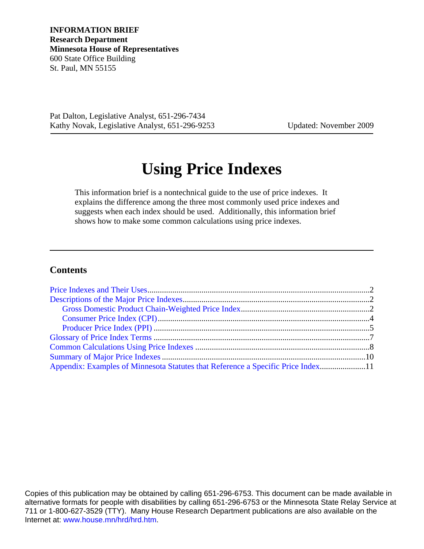**INFORMATION BRIEF Research Department Minnesota House of Representatives** 600 State Office Building St. Paul, MN 55155

Pat Dalton, Legislative Analyst, 651-296-7434 Kathy Novak, Legislative Analyst, 651-296-9253 Updated: November 2009

# **Using Price Indexes**

This information brief is a nontechnical guide to the use of price indexes. It explains the difference among the three most commonly used price indexes and suggests when each index should be used. Additionally, this information brief shows how to make some common calculations using price indexes.

## **Contents**

| Appendix: Examples of Minnesota Statutes that Reference a Specific Price Index11 |  |
|----------------------------------------------------------------------------------|--|

Copies of this publication may be obtained by calling 651-296-6753. This document can be made available in alternative formats for people with disabilities by calling 651-296-6753 or the Minnesota State Relay Service at 711 or 1-800-627-3529 (TTY). Many House Research Department publications are also available on the Internet at: [www.house.mn/hrd/hrd.htm.](http://www.house.mn/hrd/hrd.htm)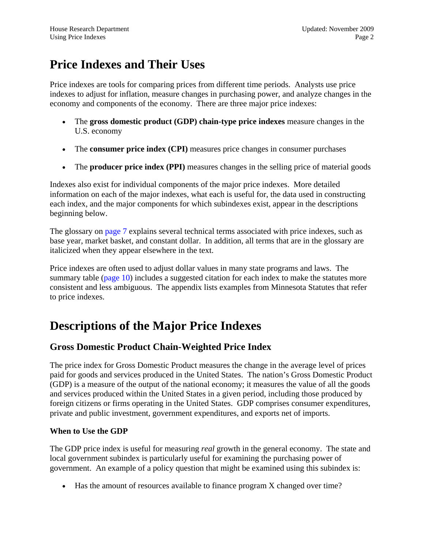## <span id="page-1-0"></span>**Price Indexes and Their Uses**

Price indexes are tools for comparing prices from different time periods. Analysts use price indexes to adjust for inflation, measure changes in purchasing power, and analyze changes in the economy and components of the economy. There are three major price indexes:

- The **gross domestic product (GDP) chain-type price indexes** measure changes in the U.S. economy
- The **consumer price index (CPI)** measures price changes in consumer purchases
- The **producer price index (PPI)** measures changes in the selling price of material goods

Indexes also exist for individual components of the major price indexes. More detailed information on each of the major indexes, what each is useful for, the data used in constructing each index, and the major components for which subindexes exist, appear in the descriptions beginning below.

The glossary on [page 7](#page-6-0) explains several technical terms associated with price indexes, such as base year, market basket, and constant dollar. In addition, all terms that are in the glossary are italicized when they appear elsewhere in the text.

Price indexes are often used to adjust dollar values in many state programs and laws. The summary table [\(page 10\)](#page-9-0) includes a suggested citation for each index to make the statutes more consistent and less ambiguous. The appendix lists examples from Minnesota Statutes that refer to price indexes.

## **Descriptions of the Major Price Indexes**

## **Gross Domestic Product Chain-Weighted Price Index**

The price index for Gross Domestic Product measures the change in the average level of prices paid for goods and services produced in the United States. The nation's Gross Domestic Product (GDP) is a measure of the output of the national economy; it measures the value of all the goods and services produced within the United States in a given period, including those produced by foreign citizens or firms operating in the United States. GDP comprises consumer expenditures, private and public investment, government expenditures, and exports net of imports.

## **When to Use the GDP**

The GDP price index is useful for measuring *real* growth in the general economy. The state and local government subindex is particularly useful for examining the purchasing power of government. An example of a policy question that might be examined using this subindex is:

• Has the amount of resources available to finance program X changed over time?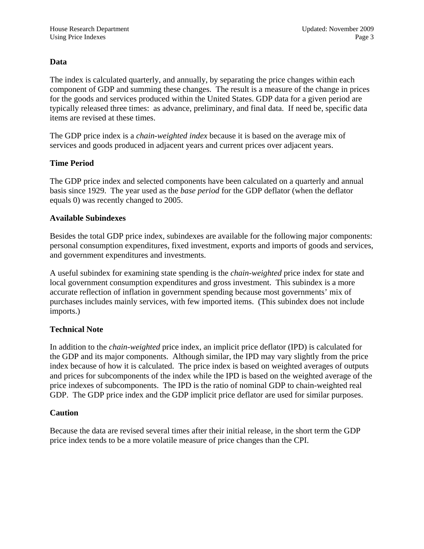## **Data**

The index is calculated quarterly, and annually, by separating the price changes within each component of GDP and summing these changes. The result is a measure of the change in prices for the goods and services produced within the United States. GDP data for a given period are typically released three times: as advance, preliminary, and final data. If need be, specific data items are revised at these times.

The GDP price index is a *chain-weighted index* because it is based on the average mix of services and goods produced in adjacent years and current prices over adjacent years.

#### **Time Period**

The GDP price index and selected components have been calculated on a quarterly and annual basis since 1929. The year used as the *base period* for the GDP deflator (when the deflator equals 0) was recently changed to 2005.

#### **Available Subindexes**

Besides the total GDP price index, subindexes are available for the following major components: personal consumption expenditures, fixed investment, exports and imports of goods and services, and government expenditures and investments.

A useful subindex for examining state spending is the *chain-weighted* price index for state and local government consumption expenditures and gross investment. This subindex is a more accurate reflection of inflation in government spending because most governments' mix of purchases includes mainly services, with few imported items. (This subindex does not include imports.)

## **Technical Note**

In addition to the *chain-weighted* price index, an implicit price deflator (IPD) is calculated for the GDP and its major components. Although similar, the IPD may vary slightly from the price index because of how it is calculated. The price index is based on weighted averages of outputs and prices for subcomponents of the index while the IPD is based on the weighted average of the price indexes of subcomponents. The IPD is the ratio of nominal GDP to chain-weighted real GDP. The GDP price index and the GDP implicit price deflator are used for similar purposes.

#### **Caution**

Because the data are revised several times after their initial release, in the short term the GDP price index tends to be a more volatile measure of price changes than the CPI.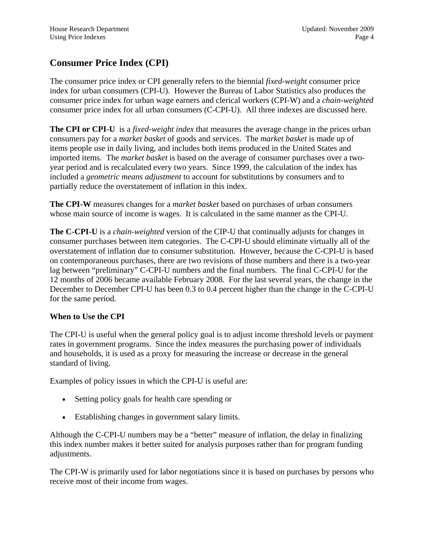## <span id="page-3-0"></span>**Consumer Price Index (CPI)**

The consumer price index or CPI generally refers to the biennial *fixed-weight* consumer price index for urban consumers (CPI-U). However the Bureau of Labor Statistics also produces the consumer price index for urban wage earners and clerical workers (CPI-W) and a *chain-weighted* consumer price index for all urban consumers (C-CPI-U). All three indexes are discussed here.

**The CPI or CPI-U** is a *fixed-weight index* that measures the average change in the prices urban consumers pay for a *market basket* of goods and services. The *market basket* is made up of items people use in daily living, and includes both items produced in the United States and imported items. The *market basket* is based on the average of consumer purchases over a twoyear period and is recalculated every two years. Since 1999, the calculation of the index has included a *geometric means adjustment* to account for substitutions by consumers and to partially reduce the overstatement of inflation in this index.

**The CPI-W** measures changes for a *market basket* based on purchases of urban consumers whose main source of income is wages. It is calculated in the same manner as the CPI-U.

**The C-CPI-U** is a *chain-weighted* version of the CIP-U that continually adjusts for changes in consumer purchases between item categories. The C-CPI-U should eliminate virtually all of the overstatement of inflation due to consumer substitution. However, because the C-CPI-U is based on contemporaneous purchases, there are two revisions of those numbers and there is a two-year lag between "preliminary" C-CPI-U numbers and the final numbers. The final C-CPI-U for the 12 months of 2006 became available February 2008. For the last several years, the change in the December to December CPI-U has been 0.3 to 0.4 percent higher than the change in the C-CPI-U for the same period.

## **When to Use the CPI**

The CPI-U is useful when the general policy goal is to adjust income threshold levels or payment rates in government programs. Since the index measures the purchasing power of individuals and households, it is used as a proxy for measuring the increase or decrease in the general standard of living.

Examples of policy issues in which the CPI-U is useful are:

- Setting policy goals for health care spending or
- Establishing changes in government salary limits.

Although the C-CPI-U numbers may be a "better" measure of inflation, the delay in finalizing this index number makes it better suited for analysis purposes rather than for program funding adjustments.

The CPI-W is primarily used for labor negotiations since it is based on purchases by persons who receive most of their income from wages.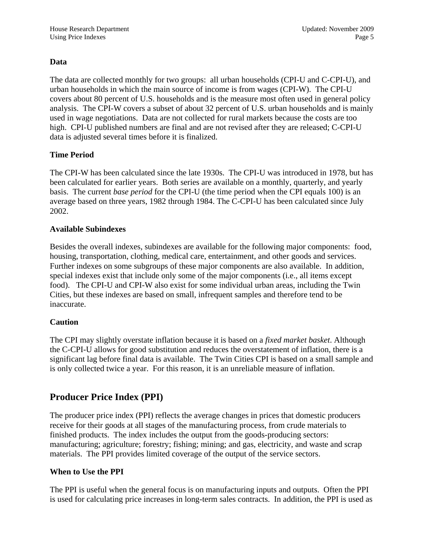## <span id="page-4-0"></span>**Data**

The data are collected monthly for two groups: all urban households (CPI-U and C-CPI-U), and urban households in which the main source of income is from wages (CPI-W). The CPI-U covers about 80 percent of U.S. households and is the measure most often used in general policy analysis. The CPI-W covers a subset of about 32 percent of U.S. urban households and is mainly used in wage negotiations. Data are not collected for rural markets because the costs are too high. CPI-U published numbers are final and are not revised after they are released; C-CPI-U data is adjusted several times before it is finalized.

## **Time Period**

The CPI-W has been calculated since the late 1930s. The CPI-U was introduced in 1978, but has been calculated for earlier years. Both series are available on a monthly, quarterly, and yearly basis. The current *base period* for the CPI-U (the time period when the CPI equals 100) is an average based on three years, 1982 through 1984. The C-CPI-U has been calculated since July 2002.

## **Available Subindexes**

Besides the overall indexes, subindexes are available for the following major components: food, housing, transportation, clothing, medical care, entertainment, and other goods and services. Further indexes on some subgroups of these major components are also available. In addition, special indexes exist that include only some of the major components (i.e., all items except food). The CPI-U and CPI-W also exist for some individual urban areas, including the Twin Cities, but these indexes are based on small, infrequent samples and therefore tend to be inaccurate.

## **Caution**

The CPI may slightly overstate inflation because it is based on a *fixed market basket*. Although the C-CPI-U allows for good substitution and reduces the overstatement of inflation, there is a significant lag before final data is available. The Twin Cities CPI is based on a small sample and is only collected twice a year. For this reason, it is an unreliable measure of inflation.

## **Producer Price Index (PPI)**

The producer price index (PPI) reflects the average changes in prices that domestic producers receive for their goods at all stages of the manufacturing process, from crude materials to finished products. The index includes the output from the goods-producing sectors: manufacturing; agriculture; forestry; fishing; mining; and gas, electricity, and waste and scrap materials. The PPI provides limited coverage of the output of the service sectors.

## **When to Use the PPI**

The PPI is useful when the general focus is on manufacturing inputs and outputs. Often the PPI is used for calculating price increases in long-term sales contracts. In addition, the PPI is used as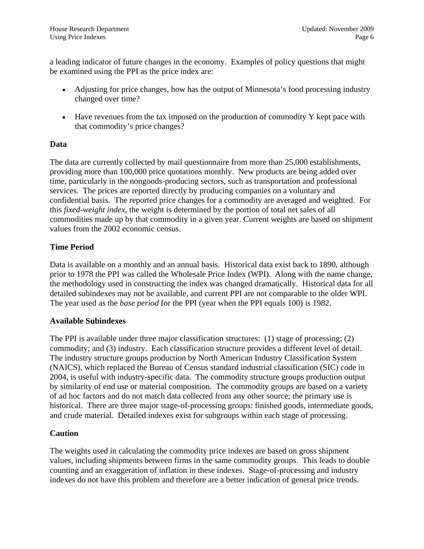a leading indicator of future changes in the economy. Examples of policy questions that might be examined using the PPI as the price index are:

- Adjusting for price changes, how has the output of Minnesota's food processing industry changed over time?
- Have revenues from the tax imposed on the production of commodity Y kept pace with that commodity's price changes?

## **Data**

The data are currently collected by mail questionnaire from more than 25,000 establishments, providing more than 100,000 price quotations monthly. New products are being added over time, particularly in the nongoods-producing sectors, such as transportation and professional services. The prices are reported directly by producing companies on a voluntary and confidential basis. The reported price changes for a commodity are averaged and weighted. For this *fixed-weight index*, the weight is determined by the portion of total net sales of all commodities made up by that commodity in a given year. Current weights are based on shipment values from the 2002 economic census.

## **Time Period**

Data is available on a monthly and an annual basis. Historical data exist back to 1890, although prior to 1978 the PPI was called the Wholesale Price Index (WPI). Along with the name change, the methodology used in constructing the index was changed dramatically. Historical data for all detailed subindexes may not be available, and current PPI are not comparable to the older WPI. The year used as the *base period* for the PPI (year when the PPI equals 100) is 1982.

## **Available Subindexes**

The PPI is available under three major classification structures: (1) stage of processing; (2) commodity; and (3) industry. Each classification structure provides a different level of detail. The industry structure groups production by North American Industry Classification System (NAICS), which replaced the Bureau of Census standard industrial classification (SIC) code in 2004, is useful with industry-specific data. The commodity structure groups production output by similarity of end use or material composition. The commodity groups are based on a variety of ad hoc factors and do not match data collected from any other source; the primary use is historical. There are three major stage-of-processing groups: finished goods, intermediate goods, and crude material. Detailed indexes exist for subgroups within each stage of processing.

## **Caution**

The weights used in calculating the commodity price indexes are based on gross shipment values, including shipments between firms in the same commodity groups. This leads to double counting and an exaggeration of inflation in these indexes. Stage-of-processing and industry indexes do not have this problem and therefore are a better indication of general price trends.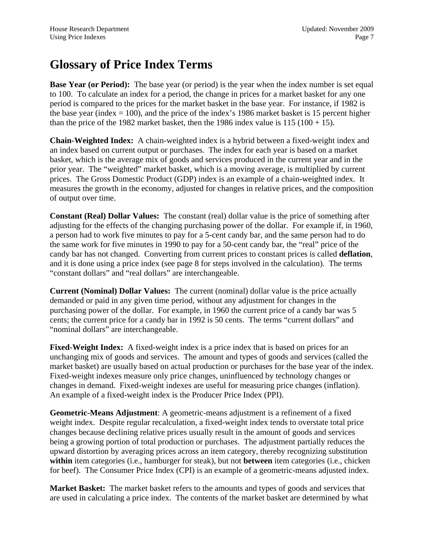## <span id="page-6-0"></span>**Glossary of Price Index Terms**

**Base Year (or Period):** The base year (or period) is the year when the index number is set equal to 100. To calculate an index for a period, the change in prices for a market basket for any one period is compared to the prices for the market basket in the base year. For instance, if 1982 is the base year (index  $= 100$ ), and the price of the index's 1986 market basket is 15 percent higher than the price of the 1982 market basket, then the 1986 index value is  $115 (100 + 15)$ .

**Chain-Weighted Index:** A chain-weighted index is a hybrid between a fixed-weight index and an index based on current output or purchases. The index for each year is based on a market basket, which is the average mix of goods and services produced in the current year and in the prior year. The "weighted" market basket, which is a moving average, is multiplied by current prices. The Gross Domestic Product (GDP) index is an example of a chain-weighted index. It measures the growth in the economy, adjusted for changes in relative prices, and the composition of output over time.

**Constant (Real) Dollar Values:** The constant (real) dollar value is the price of something after adjusting for the effects of the changing purchasing power of the dollar. For example if, in 1960, a person had to work five minutes to pay for a 5-cent candy bar, and the same person had to do the same work for five minutes in 1990 to pay for a 50-cent candy bar, the "real" price of the candy bar has not changed. Converting from current prices to constant prices is called **deflation**, and it is done using a price index (see page 8 for steps involved in the calculation). The terms "constant dollars" and "real dollars" are interchangeable.

**Current (Nominal) Dollar Values:** The current (nominal) dollar value is the price actually demanded or paid in any given time period, without any adjustment for changes in the purchasing power of the dollar. For example, in 1960 the current price of a candy bar was 5 cents; the current price for a candy bar in 1992 is 50 cents. The terms "current dollars" and "nominal dollars" are interchangeable.

**Fixed-Weight Index:** A fixed-weight index is a price index that is based on prices for an unchanging mix of goods and services. The amount and types of goods and services (called the market basket) are usually based on actual production or purchases for the base year of the index. Fixed-weight indexes measure only price changes, uninfluenced by technology changes or changes in demand. Fixed-weight indexes are useful for measuring price changes (inflation). An example of a fixed-weight index is the Producer Price Index (PPI).

**Geometric-Means Adjustment**: A geometric-means adjustment is a refinement of a fixed weight index. Despite regular recalculation, a fixed-weight index tends to overstate total price changes because declining relative prices usually result in the amount of goods and services being a growing portion of total production or purchases. The adjustment partially reduces the upward distortion by averaging prices across an item category, thereby recognizing substitution **within** item categories (i.e., hamburger for steak), but not **between** item categories (i.e., chicken for beef). The Consumer Price Index (CPI) is an example of a geometric-means adjusted index.

**Market Basket:** The market basket refers to the amounts and types of goods and services that are used in calculating a price index. The contents of the market basket are determined by what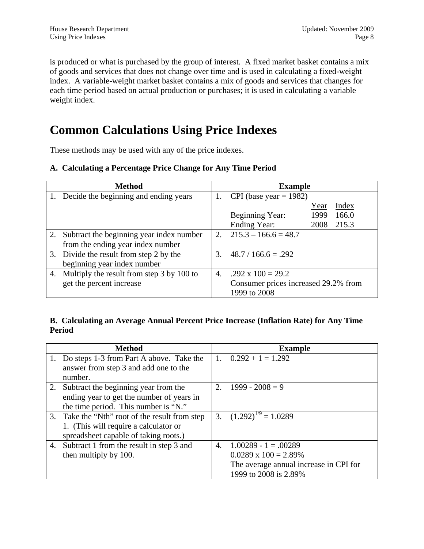<span id="page-7-0"></span>is produced or what is purchased by the group of interest. A fixed market basket contains a mix of goods and services that does not change over time and is used in calculating a fixed-weight index. A variable-weight market basket contains a mix of goods and services that changes for each time period based on actual production or purchases; it is used in calculating a variable weight index.

## **Common Calculations Using Price Indexes**

These methods may be used with any of the price indexes.

## **A. Calculating a Percentage Price Change for Any Time Period**

| <b>Method</b>                                |    | <b>Example</b>                       |      |       |
|----------------------------------------------|----|--------------------------------------|------|-------|
| 1. Decide the beginning and ending years     |    | CPI (base year = 1982)               |      |       |
|                                              |    |                                      | Year | Index |
|                                              |    | Beginning Year:                      | 1999 | 166.0 |
|                                              |    | Ending Year:                         | 2008 | 215.3 |
| 2. Subtract the beginning year index number  |    | 2. $215.3 - 166.6 = 48.7$            |      |       |
| from the ending year index number            |    |                                      |      |       |
| 3. Divide the result from step 2 by the      | 3. | $48.7 / 166.6 = .292$                |      |       |
| beginning year index number                  |    |                                      |      |       |
| 4. Multiply the result from step 3 by 100 to | 4. | $.292 \times 100 = 29.2$             |      |       |
| get the percent increase                     |    | Consumer prices increased 29.2% from |      |       |
|                                              |    | 1999 to 2008                         |      |       |

#### **B. Calculating an Average Annual Percent Price Increase (Inflation Rate) for Any Time Period**

| <b>Method</b>                                  |    | <b>Example</b>                         |
|------------------------------------------------|----|----------------------------------------|
| 1. Do steps 1-3 from Part A above. Take the    |    | 1. $0.292 + 1 = 1.292$                 |
| answer from step 3 and add one to the          |    |                                        |
| number.                                        |    |                                        |
| 2. Subtract the beginning year from the        |    | 2. $1999 - 2008 = 9$                   |
| ending year to get the number of years in      |    |                                        |
| the time period. This number is "N."           |    |                                        |
| 3. Take the "Nth" root of the result from step |    | 3. $(1.292)^{1/9} = 1.0289$            |
| 1. (This will require a calculator or          |    |                                        |
| spreadsheet capable of taking roots.)          |    |                                        |
| 4. Subtract 1 from the result in step 3 and    | 4. | $1.00289 - 1 = .00289$                 |
| then multiply by 100.                          |    | $0.0289 \times 100 = 2.89\%$           |
|                                                |    | The average annual increase in CPI for |
|                                                |    | 1999 to 2008 is 2.89%                  |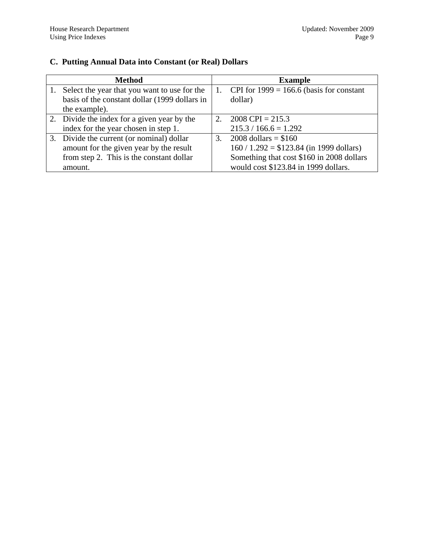## **C. Putting Annual Data into Constant (or Real) Dollars**

|    | <b>Method</b>                                 |             | <b>Example</b>                             |
|----|-----------------------------------------------|-------------|--------------------------------------------|
| 1. | Select the year that you want to use for the  | 1.          | CPI for $1999 = 166.6$ (basis for constant |
|    | basis of the constant dollar (1999 dollars in |             | dollar)                                    |
|    | the example).                                 |             |                                            |
|    | 2. Divide the index for a given year by the   | $2^{\circ}$ | $2008$ CPI = 215.3                         |
|    | index for the year chosen in step 1.          |             | $215.3 / 166.6 = 1.292$                    |
|    | 3. Divide the current (or nominal) dollar     | 3.          | 2008 dollars = $$160$                      |
|    | amount for the given year by the result       |             | $160 / 1.292 = $123.84$ (in 1999 dollars)  |
|    | from step 2. This is the constant dollar      |             | Something that cost \$160 in 2008 dollars  |
|    | amount.                                       |             | would cost \$123.84 in 1999 dollars.       |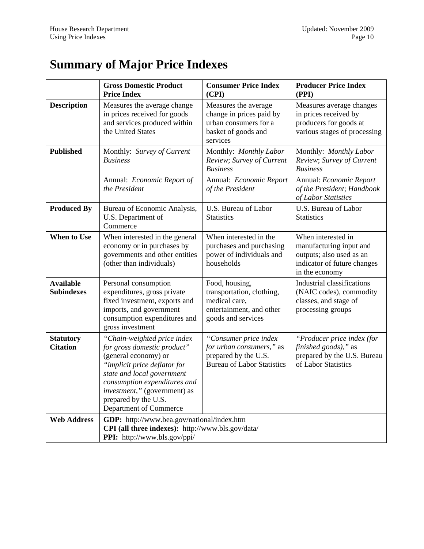# <span id="page-9-0"></span>**Summary of Major Price Indexes**

|                                       | <b>Gross Domestic Product</b><br><b>Price Index</b>                                                                                                                                                                                                                | <b>Consumer Price Index</b><br>(CPI)                                                                           | <b>Producer Price Index</b><br>(PPI)                                                                                       |
|---------------------------------------|--------------------------------------------------------------------------------------------------------------------------------------------------------------------------------------------------------------------------------------------------------------------|----------------------------------------------------------------------------------------------------------------|----------------------------------------------------------------------------------------------------------------------------|
| <b>Description</b>                    | Measures the average change<br>in prices received for goods<br>and services produced within<br>the United States                                                                                                                                                   | Measures the average<br>change in prices paid by<br>urban consumers for a<br>basket of goods and<br>services   | Measures average changes<br>in prices received by<br>producers for goods at<br>various stages of processing                |
| <b>Published</b>                      | Monthly: Survey of Current<br><b>Business</b>                                                                                                                                                                                                                      | Monthly: Monthly Labor<br>Review; Survey of Current<br><b>Business</b>                                         | Monthly: Monthly Labor<br>Review; Survey of Current<br><b>Business</b>                                                     |
|                                       | Annual: <i>Economic Report of</i><br>the President                                                                                                                                                                                                                 | Annual: Economic Report<br>of the President                                                                    | Annual: Economic Report<br>of the President; Handbook<br>of Labor Statistics                                               |
| <b>Produced By</b>                    | Bureau of Economic Analysis,<br>U.S. Department of<br>Commerce                                                                                                                                                                                                     | U.S. Bureau of Labor<br><b>Statistics</b>                                                                      | U.S. Bureau of Labor<br><b>Statistics</b>                                                                                  |
| <b>When to Use</b>                    | When interested in the general<br>economy or in purchases by<br>governments and other entities<br>(other than individuals)                                                                                                                                         | When interested in the<br>purchases and purchasing<br>power of individuals and<br>households                   | When interested in<br>manufacturing input and<br>outputs; also used as an<br>indicator of future changes<br>in the economy |
| <b>Available</b><br><b>Subindexes</b> | Personal consumption<br>expenditures, gross private<br>fixed investment, exports and<br>imports, and government<br>consumption expenditures and<br>gross investment                                                                                                | Food, housing,<br>transportation, clothing,<br>medical care,<br>entertainment, and other<br>goods and services | Industrial classifications<br>(NAIC codes), commodity<br>classes, and stage of<br>processing groups                        |
| <b>Statutory</b><br><b>Citation</b>   | "Chain-weighted price index<br>for gross domestic product"<br>(general economy) or<br>"implicit price deflator for<br>state and local government<br>consumption expenditures and<br>investment," (government) as<br>prepared by the U.S.<br>Department of Commerce | "Consumer price index<br>for urban consumers," as<br>prepared by the U.S.<br><b>Bureau of Labor Statistics</b> | "Producer price index (for<br>finished goods)," as<br>prepared by the U.S. Bureau<br>of Labor Statistics                   |
| <b>Web Address</b>                    | GDP: http://www.bea.gov/national/index.htm<br>CPI (all three indexes): http://www.bls.gov/data/<br><b>PPI:</b> http://www.bls.gov/ppi/                                                                                                                             |                                                                                                                |                                                                                                                            |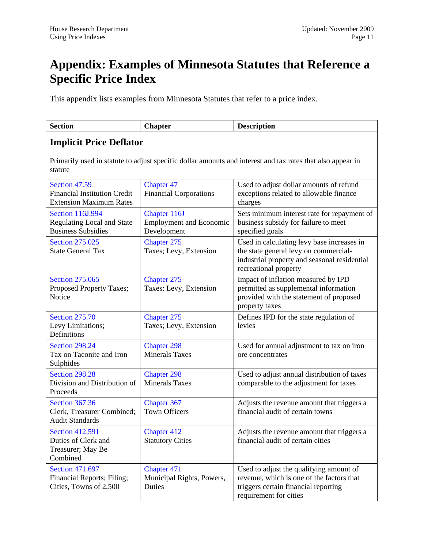## <span id="page-10-0"></span>**Appendix: Examples of Minnesota Statutes that Reference a Specific Price Index**

This appendix lists examples from Minnesota Statutes that refer to a price index.

| <b>Section</b>                                                                            | <b>Chapter</b>                                                                                             | <b>Description</b>                                                                                                                                           |  |  |
|-------------------------------------------------------------------------------------------|------------------------------------------------------------------------------------------------------------|--------------------------------------------------------------------------------------------------------------------------------------------------------------|--|--|
| <b>Implicit Price Deflator</b>                                                            |                                                                                                            |                                                                                                                                                              |  |  |
| statute                                                                                   | Primarily used in statute to adjust specific dollar amounts and interest and tax rates that also appear in |                                                                                                                                                              |  |  |
| Section 47.59<br><b>Financial Institution Credit</b><br><b>Extension Maximum Rates</b>    | <b>Chapter 47</b><br><b>Financial Corporations</b>                                                         | Used to adjust dollar amounts of refund<br>exceptions related to allowable finance<br>charges                                                                |  |  |
| <b>Section 116J.994</b><br><b>Regulating Local and State</b><br><b>Business Subsidies</b> | Chapter 116J<br><b>Employment and Economic</b><br>Development                                              | Sets minimum interest rate for repayment of<br>business subsidy for failure to meet<br>specified goals                                                       |  |  |
| <b>Section 275.025</b><br><b>State General Tax</b>                                        | Chapter 275<br>Taxes; Levy, Extension                                                                      | Used in calculating levy base increases in<br>the state general levy on commercial-<br>industrial property and seasonal residential<br>recreational property |  |  |
| <b>Section 275,065</b><br>Proposed Property Taxes;<br>Notice                              | Chapter 275<br>Taxes; Levy, Extension                                                                      | Impact of inflation measured by IPD<br>permitted as supplemental information<br>provided with the statement of proposed<br>property taxes                    |  |  |
| <b>Section 275.70</b><br>Levy Limitations;<br>Definitions                                 | Chapter 275<br>Taxes; Levy, Extension                                                                      | Defines IPD for the state regulation of<br>levies                                                                                                            |  |  |
| Section 298.24<br>Tax on Taconite and Iron<br>Sulphides                                   | <b>Chapter 298</b><br><b>Minerals Taxes</b>                                                                | Used for annual adjustment to tax on iron<br>ore concentrates                                                                                                |  |  |
| <b>Section 298.28</b><br>Division and Distribution of<br>Proceeds                         | <b>Chapter 298</b><br><b>Minerals Taxes</b>                                                                | Used to adjust annual distribution of taxes<br>comparable to the adjustment for taxes                                                                        |  |  |
| <b>Section 367.36</b><br>Clerk, Treasurer Combined;<br><b>Audit Standards</b>             | Chapter 367<br><b>Town Officers</b>                                                                        | Adjusts the revenue amount that triggers a<br>financial audit of certain towns                                                                               |  |  |
| <b>Section 412.591</b><br>Duties of Clerk and<br>Treasurer; May Be<br>Combined            | Chapter 412<br><b>Statutory Cities</b>                                                                     | Adjusts the revenue amount that triggers a<br>financial audit of certain cities                                                                              |  |  |
| <b>Section 471.697</b><br>Financial Reports; Filing;<br>Cities, Towns of 2,500            | Chapter 471<br>Municipal Rights, Powers,<br>Duties                                                         | Used to adjust the qualifying amount of<br>revenue, which is one of the factors that<br>triggers certain financial reporting<br>requirement for cities       |  |  |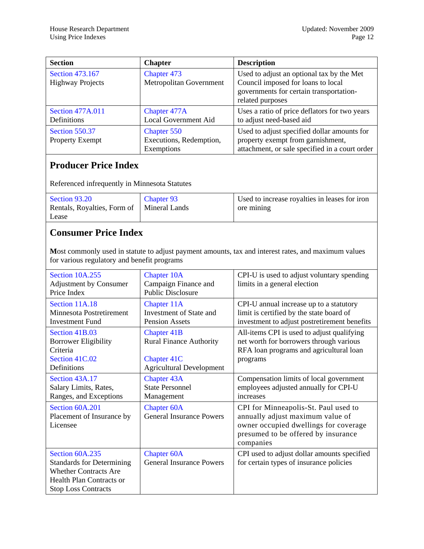| <b>Section</b>                                  | <b>Chapter</b>                                       | <b>Description</b>                                                                                                                             |
|-------------------------------------------------|------------------------------------------------------|------------------------------------------------------------------------------------------------------------------------------------------------|
| Section 473.167<br><b>Highway Projects</b>      | Chapter 473<br>Metropolitan Government               | Used to adjust an optional tax by the Met<br>Council imposed for loans to local<br>governments for certain transportation-<br>related purposes |
| <b>Section 477A.011</b><br>Definitions          | <b>Chapter 477A</b><br>Local Government Aid          | Uses a ratio of price deflators for two years<br>to adjust need-based aid                                                                      |
| <b>Section 550.37</b><br><b>Property Exempt</b> | Chapter 550<br>Executions, Redemption,<br>Exemptions | Used to adjust specified dollar amounts for<br>property exempt from garnishment,<br>attachment, or sale specified in a court order             |

## **Producer Price Index**

Referenced infrequently in Minnesota Statutes

| Section 93.20               | Chapter 93    | Used to increase royalties in leases for iron |
|-----------------------------|---------------|-----------------------------------------------|
| Rentals, Royalties, Form of | Mineral Lands | ore mining                                    |
| Lease                       |               |                                               |

## **Consumer Price Index**

**M**ost commonly used in statute to adjust payment amounts, tax and interest rates, and maximum values for various regulatory and benefit programs

| Section 10A.255<br><b>Adjustment by Consumer</b><br>Price Index                                                                                      | <b>Chapter 10A</b><br>Campaign Finance and<br><b>Public Disclosure</b>                                 | CPI-U is used to adjust voluntary spending<br>limits in a general election                                                                                            |
|------------------------------------------------------------------------------------------------------------------------------------------------------|--------------------------------------------------------------------------------------------------------|-----------------------------------------------------------------------------------------------------------------------------------------------------------------------|
| Section 11A.18<br>Minnesota Postretirement<br><b>Investment Fund</b>                                                                                 | Chapter 11A<br>Investment of State and<br>Pension Assets                                               | CPI-U annual increase up to a statutory<br>limit is certified by the state board of<br>investment to adjust postretirement benefits                                   |
| Section 41B.03<br><b>Borrower Eligibility</b><br>Criteria<br>Section 41C.02<br>Definitions                                                           | <b>Chapter 41B</b><br><b>Rural Finance Authority</b><br>Chapter 41C<br><b>Agricultural Development</b> | All-items CPI is used to adjust qualifying<br>net worth for borrowers through various<br>RFA loan programs and agricultural loan<br>programs                          |
| Section 43A.17<br>Salary Limits, Rates,<br>Ranges, and Exceptions                                                                                    | <b>Chapter 43A</b><br><b>State Personnel</b><br>Management                                             | Compensation limits of local government<br>employees adjusted annually for CPI-U<br>increases                                                                         |
| Section 60A.201<br>Placement of Insurance by<br>Licensee                                                                                             | <b>Chapter 60A</b><br><b>General Insurance Powers</b>                                                  | CPI for Minneapolis-St. Paul used to<br>annually adjust maximum value of<br>owner occupied dwellings for coverage<br>presumed to be offered by insurance<br>companies |
| Section 60A.235<br><b>Standards for Determining</b><br><b>Whether Contracts Are</b><br><b>Health Plan Contracts or</b><br><b>Stop Loss Contracts</b> | <b>Chapter 60A</b><br><b>General Insurance Powers</b>                                                  | CPI used to adjust dollar amounts specified<br>for certain types of insurance policies                                                                                |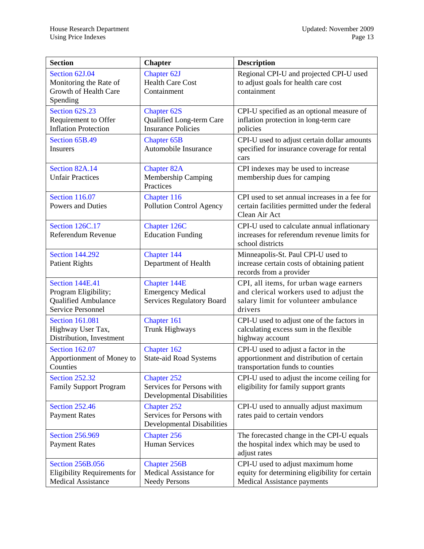| <b>Section</b>                                                                                    | <b>Chapter</b>                                                                       | <b>Description</b>                                                                                                                   |
|---------------------------------------------------------------------------------------------------|--------------------------------------------------------------------------------------|--------------------------------------------------------------------------------------------------------------------------------------|
| Section 62J.04<br>Monitoring the Rate of<br>Growth of Health Care<br>Spending                     | Chapter 62J<br><b>Health Care Cost</b><br>Containment                                | Regional CPI-U and projected CPI-U used<br>to adjust goals for health care cost<br>containment                                       |
| Section 62S.23<br>Requirement to Offer<br><b>Inflation Protection</b>                             | <b>Chapter 62S</b><br>Qualified Long-term Care<br><b>Insurance Policies</b>          | CPI-U specified as an optional measure of<br>inflation protection in long-term care<br>policies                                      |
| Section 65B.49<br><b>Insurers</b>                                                                 | <b>Chapter 65B</b><br>Automobile Insurance                                           | CPI-U used to adjust certain dollar amounts<br>specified for insurance coverage for rental<br>cars                                   |
| Section 82A.14<br><b>Unfair Practices</b>                                                         | <b>Chapter 82A</b><br>Membership Camping<br>Practices                                | CPI indexes may be used to increase<br>membership dues for camping                                                                   |
| <b>Section 116.07</b><br><b>Powers and Duties</b>                                                 | Chapter 116<br>Pollution Control Agency                                              | CPI used to set annual increases in a fee for<br>certain facilities permitted under the federal<br>Clean Air Act                     |
| Section 126C.17<br>Referendum Revenue                                                             | Chapter 126C<br><b>Education Funding</b>                                             | CPI-U used to calculate annual inflationary<br>increases for referendum revenue limits for<br>school districts                       |
| <b>Section 144.292</b><br><b>Patient Rights</b>                                                   | Chapter 144<br>Department of Health                                                  | Minneapolis-St. Paul CPI-U used to<br>increase certain costs of obtaining patient<br>records from a provider                         |
| Section 144E.41<br>Program Eligibility;<br><b>Qualified Ambulance</b><br><b>Service Personnel</b> | Chapter 144E<br><b>Emergency Medical</b><br><b>Services Regulatory Board</b>         | CPI, all items, for urban wage earners<br>and clerical workers used to adjust the<br>salary limit for volunteer ambulance<br>drivers |
| <b>Section 161.081</b><br>Highway User Tax,<br>Distribution, Investment                           | Chapter 161<br><b>Trunk Highways</b>                                                 | CPI-U used to adjust one of the factors in<br>calculating excess sum in the flexible<br>highway account                              |
| <b>Section 162.07</b><br>Apportionment of Money to<br>Counties                                    | Chapter 162<br><b>State-aid Road Systems</b>                                         | CPI-U used to adjust a factor in the<br>apportionment and distribution of certain<br>transportation funds to counties                |
| <b>Section 252.32</b><br><b>Family Support Program</b>                                            | <b>Chapter 252</b><br>Services for Persons with<br><b>Developmental Disabilities</b> | CPI-U used to adjust the income ceiling for<br>eligibility for family support grants                                                 |
| <b>Section 252.46</b><br><b>Payment Rates</b>                                                     | <b>Chapter 252</b><br>Services for Persons with<br><b>Developmental Disabilities</b> | CPI-U used to annually adjust maximum<br>rates paid to certain vendors                                                               |
| <b>Section 256.969</b><br><b>Payment Rates</b>                                                    | Chapter 256<br><b>Human Services</b>                                                 | The forecasted change in the CPI-U equals<br>the hospital index which may be used to<br>adjust rates                                 |
| <b>Section 256B.056</b><br>Eligibility Requirements for<br><b>Medical Assistance</b>              | <b>Chapter 256B</b><br><b>Medical Assistance for</b><br><b>Needy Persons</b>         | CPI-U used to adjust maximum home<br>equity for determining eligibility for certain<br>Medical Assistance payments                   |